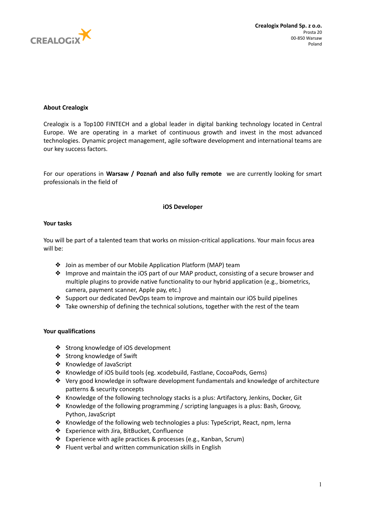

# **About Crealogix**

Crealogix is a Top100 FINTECH and a global leader in digital banking technology located in Central Europe. We are operating in a market of continuous growth and invest in the most advanced technologies. Dynamic project management, agile software development and international teams are our key success factors.

For our operations in **Warsaw / Poznań and also fully remote** we are currently looking for smart professionals in the field of

## **iOS Developer**

## **Your tasks**

You will be part of a talented team that works on mission-critical applications. Your main focus area will be:

- ❖ Join as member of our Mobile Application Platform (MAP) team
- ❖ Improve and maintain the iOS part of our MAP product, consisting of a secure browser and multiple plugins to provide native functionality to our hybrid application (e.g., biometrics, camera, payment scanner, Apple pay, etc.)
- ❖ Support our dedicated DevOps team to improve and maintain our iOS build pipelines
- ❖ Take ownership of defining the technical solutions, together with the rest of the team

## **Your qualifications**

- ❖ Strong knowledge of iOS development
- ❖ Strong knowledge of Swift
- ❖ Knowledge of JavaScript
- ❖ Knowledge of iOS build tools (eg. xcodebuild, Fastlane, CocoaPods, Gems)
- ❖ Very good knowledge in software development fundamentals and knowledge of architecture patterns & security concepts
- ❖ Knowledge of the following technology stacks is a plus: Artifactory, Jenkins, Docker, Git
- ❖ Knowledge of the following programming / scripting languages is a plus: Bash, Groovy, Python, JavaScript
- ❖ Knowledge of the following web technologies a plus: TypeScript, React, npm, lerna
- ❖ Experience with Jira, BitBucket, Confluence
- ❖ Experience with agile practices & processes (e.g., Kanban, Scrum)
- ❖ Fluent verbal and written communication skills in English